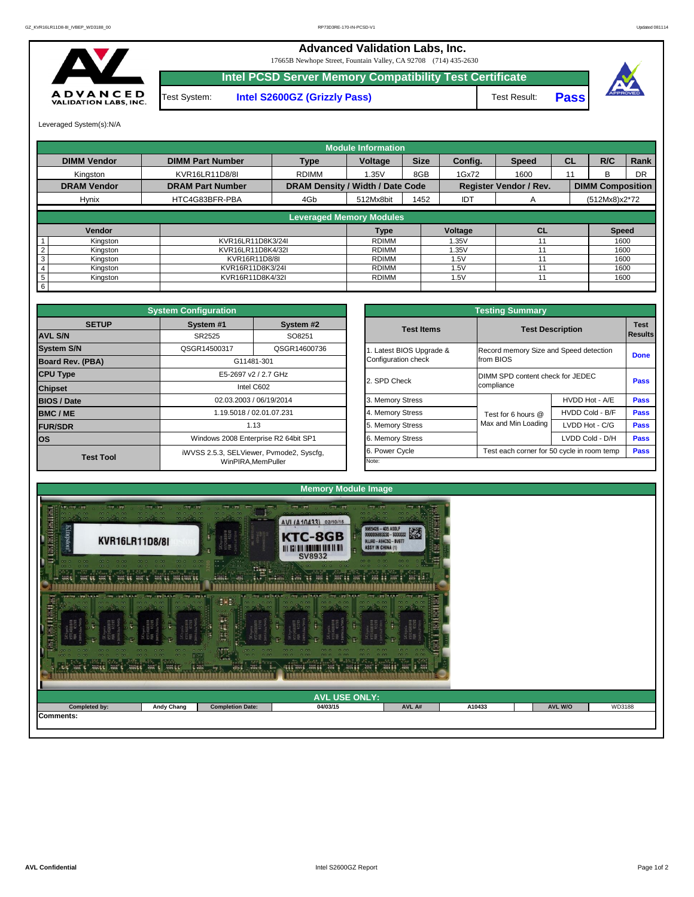

## **Advanced Validation Labs, Inc.**  17665B Newhope Street, Fountain Valley, CA 92708 (714) 435-2630 **Intel PCSD Server Memory Compatibility Test Certificate** A D V A N C E D<br>VALIDATION LABS, INC. Test System: **Intel S2600GZ (Grizzly Pass)** Test Result: **Pass**

Leveraged System(s):N/A

|                 |                    |                         |                                         | <b>Module Information</b> |             |            |                               |           |                         |             |
|-----------------|--------------------|-------------------------|-----------------------------------------|---------------------------|-------------|------------|-------------------------------|-----------|-------------------------|-------------|
|                 | <b>DIMM Vendor</b> | <b>DIMM Part Number</b> | <b>Type</b>                             | <b>Voltage</b>            | <b>Size</b> | Config.    | <b>Speed</b>                  | <b>CL</b> | R/C                     | <b>Rank</b> |
|                 | Kingston           | KVR16LR11D8/8I          | <b>RDIMM</b>                            | 1.35V                     | 8GB         | 1Gx72      | 1600                          | 11        | B.                      | <b>DR</b>   |
|                 | <b>DRAM Vendor</b> | <b>DRAM Part Number</b> | <b>DRAM Density / Width / Date Code</b> |                           |             |            | <b>Register Vendor / Rev.</b> |           | <b>DIMM Composition</b> |             |
|                 | <b>Hynix</b>       | HTC4G83BFR-PBA          | 4Gb                                     | 512Mx8bit                 | 1452        | <b>IDT</b> | A                             |           | $(512Mx8)x2*72$         |             |
|                 |                    |                         | <b>Leveraged Memory Modules</b>         |                           |             |            |                               |           |                         |             |
|                 |                    |                         |                                         |                           |             |            |                               |           |                         |             |
|                 | Vendor             |                         |                                         | <b>Type</b>               |             | Voltage    | CL                            |           | <b>Speed</b>            |             |
|                 | Kingston           | KVR16LR11D8K3/24I       |                                         | RDIMM                     |             | 1.35V      | 11                            |           | 1600                    |             |
|                 | Kingston           | KVR16LR11D8K4/32I       |                                         | RDIMM                     |             | 1.35V      | 11                            |           | 1600                    |             |
| 3               | Kingston           | KVR16R11D8/8I           |                                         | RDIMM                     |             | 1.5V       | 11                            |           | 1600                    |             |
|                 | Kingston           | KVR16R11D8K3/24I        |                                         | RDIMM                     |             | 1.5V       | 11                            |           | 1600                    |             |
| $5\phantom{.0}$ | Kingston           | KVR16R11D8K4/32I        |                                         | RDIMM                     |             | 1.5V       | 11                            |           | 1600                    |             |
| 6               |                    |                         |                                         |                           |             |            |                               |           |                         |             |

| <b>Testing Summary</b>                          |                                                     |                 |                               |  |  |  |  |  |  |  |  |
|-------------------------------------------------|-----------------------------------------------------|-----------------|-------------------------------|--|--|--|--|--|--|--|--|
| <b>Test Items</b>                               | <b>Test Description</b>                             |                 | <b>Test</b><br><b>Results</b> |  |  |  |  |  |  |  |  |
| 1. Latest BIOS Upgrade &<br>Configuration check | Record memory Size and Speed detection<br>from BIOS |                 | <b>Done</b>                   |  |  |  |  |  |  |  |  |
| 2. SPD Check                                    | DIMM SPD content check for JEDEC<br>compliance      | <b>Pass</b>     |                               |  |  |  |  |  |  |  |  |
| 3. Memory Stress                                |                                                     | HVDD Hot - A/E  | <b>Pass</b>                   |  |  |  |  |  |  |  |  |
| 4. Memory Stress                                | Test for 6 hours $@$                                | HVDD Cold - B/F | <b>Pass</b>                   |  |  |  |  |  |  |  |  |
| 5. Memory Stress                                | Max and Min Loading                                 | LVDD Hot - C/G  | <b>Pass</b>                   |  |  |  |  |  |  |  |  |
| 6. Memory Stress                                |                                                     | LVDD Cold - D/H | <b>Pass</b>                   |  |  |  |  |  |  |  |  |
| 6. Power Cycle                                  | Test each corner for 50 cycle in room temp          |                 | <b>Pass</b>                   |  |  |  |  |  |  |  |  |
| Note:                                           |                                                     |                 |                               |  |  |  |  |  |  |  |  |

|                         | <b>System Configuration</b> |                                          |       |                       | <b>Testing Summary</b>                 |                                            |             |  |  |  |
|-------------------------|-----------------------------|------------------------------------------|-------|-----------------------|----------------------------------------|--------------------------------------------|-------------|--|--|--|
| <b>SETUP</b>            | System #1                   | System #2                                |       | <b>Test Items</b>     |                                        | <b>Test Description</b>                    | <b>Test</b> |  |  |  |
| <b>AVL S/N</b>          | SR2525                      | SO8251                                   |       |                       | Results                                |                                            |             |  |  |  |
| <b>System S/N</b>       | QSGR14500317                | QSGR14600736                             |       | Latest BIOS Upgrade & | Record memory Size and Speed detection |                                            | <b>Done</b> |  |  |  |
| <b>Board Rev. (PBA)</b> |                             | G11481-301                               |       | Configuration check   | from BIOS                              |                                            |             |  |  |  |
| <b>CPU Type</b>         |                             | E5-2697 v2 / 2.7 GHz                     |       | 2. SPD Check          | DIMM SPD content check for JEDEC       |                                            |             |  |  |  |
| <b>Chipset</b>          |                             | Intel C602                               |       |                       | compliance                             |                                            | <b>Pass</b> |  |  |  |
| <b>BIOS / Date</b>      |                             | 02.03.2003 / 06/19/2014                  |       | 3. Memory Stress      |                                        | HVDD Hot - A/E                             | <b>Pass</b> |  |  |  |
| <b>BMC/ME</b>           |                             | 1.19.5018 / 02.01.07.231                 |       | 4. Memory Stress      | Test for 6 hours @                     | HVDD Cold - B/F                            | <b>Pass</b> |  |  |  |
| <b>FUR/SDR</b>          |                             | 1.13                                     |       | 5. Memory Stress      | Max and Min Loading                    | LVDD Hot - C/G                             | <b>Pass</b> |  |  |  |
| <b>los</b>              |                             | Windows 2008 Enterprise R2 64bit SP1     |       | 6. Memory Stress      |                                        | LVDD Cold - D/H                            | <b>Pass</b> |  |  |  |
| <b>Test Tool</b>        |                             | iWVSS 2.5.3, SELViewer, Pvmode2, Syscfg, |       | 6. Power Cycle        |                                        | Test each corner for 50 cycle in room temp | <b>Pass</b> |  |  |  |
|                         |                             | WinPIRA, MemPuller                       | Note: |                       |                                        |                                            |             |  |  |  |



| j.<br>$-0.01$ $-0.01$ $-0.001$<br>$-0.01 - 0.1$<br>101, 402<br>$-0.00$<br>$-0.0$<br>GOOD O<br>$-0$ $-0$<br><b>ANDER AND E</b><br>ಿ ಸುನಿತ್ರಕ್ಕ | 00.01000<br>$-000$<br><b>AWK E</b><br><b>ANGEL</b> | $\sim$<br>$\sigma$ and $\tau$<br>$-0.000$<br>$-0.00$<br>$E = 2$<br>$-0.00$<br>00.0<br><b>Cardina</b><br>Windi<br><b>CONT</b><br>WR 5 | <br>0.00<br>$-000$ $-0.00$<br>$-0.0$<br>$-0.00$<br>000<br>$-10-100$<br>$-0.00$<br>000<br>$-0.0$<br>788 T<br><b>ALL WAL</b><br>Same: | <b><i>Change</i></b><br>Jun 11 |        |                |        |
|-----------------------------------------------------------------------------------------------------------------------------------------------|----------------------------------------------------|--------------------------------------------------------------------------------------------------------------------------------------|-------------------------------------------------------------------------------------------------------------------------------------|--------------------------------|--------|----------------|--------|
|                                                                                                                                               |                                                    |                                                                                                                                      | <b>AVL USE ONLY:</b>                                                                                                                |                                |        |                |        |
| <b>Completed by:</b>                                                                                                                          | <b>Andy Chang</b>                                  | <b>Completion Date:</b>                                                                                                              | 04/03/15                                                                                                                            | AVL A#                         | A10433 | <b>AVL W/O</b> | WD3188 |
| Comments:                                                                                                                                     |                                                    |                                                                                                                                      |                                                                                                                                     |                                |        |                |        |